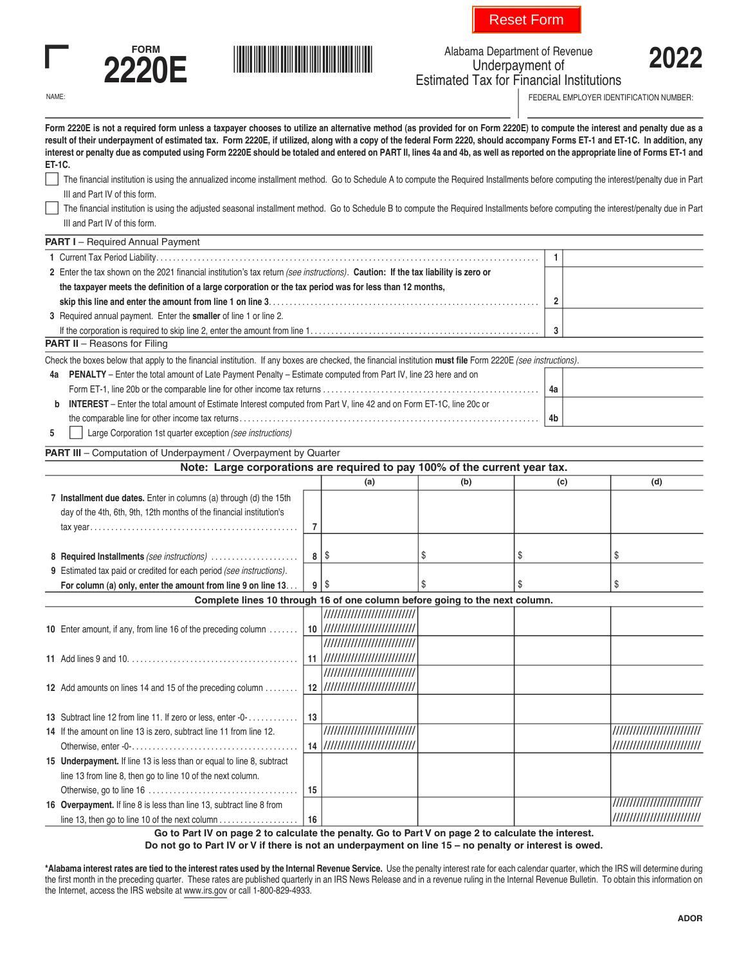





Alabama Department of Revenue<br> **2022** Underpayment of Estimated Tax for Financial Institutions

NAME: **FEDERAL EMPLOYER IDENTIFICATION NUMBER:** FEDERAL EMPLOYER IDENTIFICATION NUMBER:

| Form 2220E is not a required form unless a taxpayer chooses to utilize an alternative method (as provided for on Form 2220E) to compute the interest and penalty due as a<br>result of their underpayment of estimated tax. Form 2220E, if utilized, along with a copy of the federal Form 2220, should accompany Forms ET-1 and ET-1C. In addition, any<br>interest or penalty due as computed using Form 2220E should be totaled and entered on PART II, lines 4a and 4b, as well as reported on the appropriate line of Forms ET-1 and<br>ET-1C. |    |                                   |     |     |                             |
|-----------------------------------------------------------------------------------------------------------------------------------------------------------------------------------------------------------------------------------------------------------------------------------------------------------------------------------------------------------------------------------------------------------------------------------------------------------------------------------------------------------------------------------------------------|----|-----------------------------------|-----|-----|-----------------------------|
| The financial institution is using the annualized income installment method. Go to Schedule A to compute the Required Installments before computing the interest/penalty due in Part                                                                                                                                                                                                                                                                                                                                                                |    |                                   |     |     |                             |
| III and Part IV of this form.                                                                                                                                                                                                                                                                                                                                                                                                                                                                                                                       |    |                                   |     |     |                             |
| The financial institution is using the adjusted seasonal installment method. Go to Schedule B to compute the Required Installments before computing the interest/penalty due in Part                                                                                                                                                                                                                                                                                                                                                                |    |                                   |     |     |                             |
| III and Part IV of this form.                                                                                                                                                                                                                                                                                                                                                                                                                                                                                                                       |    |                                   |     |     |                             |
| <b>PART I</b> - Required Annual Payment                                                                                                                                                                                                                                                                                                                                                                                                                                                                                                             |    |                                   |     |     |                             |
|                                                                                                                                                                                                                                                                                                                                                                                                                                                                                                                                                     |    |                                   |     | 1   |                             |
| 2 Enter the tax shown on the 2021 financial institution's tax return (see instructions). Caution: If the tax liability is zero or                                                                                                                                                                                                                                                                                                                                                                                                                   |    |                                   |     |     |                             |
| the taxpayer meets the definition of a large corporation or the tax period was for less than 12 months,                                                                                                                                                                                                                                                                                                                                                                                                                                             |    |                                   |     |     |                             |
|                                                                                                                                                                                                                                                                                                                                                                                                                                                                                                                                                     |    |                                   |     | 2   |                             |
| 3 Required annual payment. Enter the smaller of line 1 or line 2.                                                                                                                                                                                                                                                                                                                                                                                                                                                                                   |    |                                   |     |     |                             |
|                                                                                                                                                                                                                                                                                                                                                                                                                                                                                                                                                     |    |                                   |     | 3   |                             |
| <b>PART II</b> - Reasons for Filing                                                                                                                                                                                                                                                                                                                                                                                                                                                                                                                 |    |                                   |     |     |                             |
|                                                                                                                                                                                                                                                                                                                                                                                                                                                                                                                                                     |    |                                   |     |     |                             |
| Check the boxes below that apply to the financial institution. If any boxes are checked, the financial institution must file Form 2220E (see instructions).                                                                                                                                                                                                                                                                                                                                                                                         |    |                                   |     |     |                             |
| 4a PENALTY - Enter the total amount of Late Payment Penalty - Estimate computed from Part IV, line 23 here and on                                                                                                                                                                                                                                                                                                                                                                                                                                   |    |                                   |     |     |                             |
|                                                                                                                                                                                                                                                                                                                                                                                                                                                                                                                                                     |    |                                   |     | 4a  |                             |
| INTEREST - Enter the total amount of Estimate Interest computed from Part V, line 42 and on Form ET-1C, line 20c or<br>b                                                                                                                                                                                                                                                                                                                                                                                                                            |    |                                   |     |     |                             |
|                                                                                                                                                                                                                                                                                                                                                                                                                                                                                                                                                     |    |                                   |     | 4b  |                             |
| Large Corporation 1st quarter exception (see instructions)<br>5                                                                                                                                                                                                                                                                                                                                                                                                                                                                                     |    |                                   |     |     |                             |
| <b>PART III</b> – Computation of Underpayment / Overpayment by Quarter                                                                                                                                                                                                                                                                                                                                                                                                                                                                              |    |                                   |     |     |                             |
| Note: Large corporations are required to pay 100% of the current year tax.                                                                                                                                                                                                                                                                                                                                                                                                                                                                          |    |                                   |     |     |                             |
|                                                                                                                                                                                                                                                                                                                                                                                                                                                                                                                                                     |    | (a)                               | (b) | (c) | (d)                         |
| 7 Installment due dates. Enter in columns (a) through (d) the 15th                                                                                                                                                                                                                                                                                                                                                                                                                                                                                  |    |                                   |     |     |                             |
| day of the 4th, 6th, 9th, 12th months of the financial institution's                                                                                                                                                                                                                                                                                                                                                                                                                                                                                |    |                                   |     |     |                             |
|                                                                                                                                                                                                                                                                                                                                                                                                                                                                                                                                                     | 7  |                                   |     |     |                             |
|                                                                                                                                                                                                                                                                                                                                                                                                                                                                                                                                                     |    |                                   |     |     |                             |
| 8 Required Installments (see instructions)                                                                                                                                                                                                                                                                                                                                                                                                                                                                                                          |    | 8                                 | \$  | \$  | \$                          |
| 9 Estimated tax paid or credited for each period (see instructions).                                                                                                                                                                                                                                                                                                                                                                                                                                                                                |    |                                   |     |     |                             |
| For column (a) only, enter the amount from line 9 on line 13                                                                                                                                                                                                                                                                                                                                                                                                                                                                                        |    | $9$   \$                          | S.  | \$  | \$                          |
| Complete lines 10 through 16 of one column before going to the next column.                                                                                                                                                                                                                                                                                                                                                                                                                                                                         |    |                                   |     |     |                             |
|                                                                                                                                                                                                                                                                                                                                                                                                                                                                                                                                                     |    | /////////////////////////////     |     |     |                             |
| 10 Enter amount, if any, from line 16 of the preceding column                                                                                                                                                                                                                                                                                                                                                                                                                                                                                       |    | 10  ///////////////////////////// |     |     |                             |
|                                                                                                                                                                                                                                                                                                                                                                                                                                                                                                                                                     |    | ////////////////////////////      |     |     |                             |
| 11 Add lines 9 and 10.                                                                                                                                                                                                                                                                                                                                                                                                                                                                                                                              |    | 11  ///////////////////////////// |     |     |                             |
|                                                                                                                                                                                                                                                                                                                                                                                                                                                                                                                                                     |    | ////////////////////////////      |     |     |                             |
| 12 Add amounts on lines 14 and 15 of the preceding column                                                                                                                                                                                                                                                                                                                                                                                                                                                                                           |    | 12  ///////////////////////////// |     |     |                             |
|                                                                                                                                                                                                                                                                                                                                                                                                                                                                                                                                                     |    |                                   |     |     |                             |
| 13 Subtract line 12 from line 11. If zero or less, enter -0-                                                                                                                                                                                                                                                                                                                                                                                                                                                                                        | 13 |                                   |     |     |                             |
| 14 If the amount on line 13 is zero, subtract line 11 from line 12.                                                                                                                                                                                                                                                                                                                                                                                                                                                                                 |    | /////////////////////////////     |     |     | /////////////////////////// |
|                                                                                                                                                                                                                                                                                                                                                                                                                                                                                                                                                     |    | 14  ///////////////////////////// |     |     | /////////////////////////// |
|                                                                                                                                                                                                                                                                                                                                                                                                                                                                                                                                                     |    |                                   |     |     |                             |
| 15 Underpayment. If line 13 is less than or equal to line 8, subtract                                                                                                                                                                                                                                                                                                                                                                                                                                                                               |    |                                   |     |     |                             |
| line 13 from line 8, then go to line 10 of the next column.                                                                                                                                                                                                                                                                                                                                                                                                                                                                                         |    |                                   |     |     |                             |
|                                                                                                                                                                                                                                                                                                                                                                                                                                                                                                                                                     | 15 |                                   |     |     |                             |
| 16 Overpayment. If line 8 is less than line 13, subtract line 8 from                                                                                                                                                                                                                                                                                                                                                                                                                                                                                |    |                                   |     |     | /////////////////////////// |
|                                                                                                                                                                                                                                                                                                                                                                                                                                                                                                                                                     | 16 |                                   |     |     | /////////////////////////// |

**Go to Part IV on page 2 to calculate the penalty. Go to Part V on page 2 to calculate the interest. Do not go to Part IV or V if there is not an underpayment on line 15 – no penalty or interest is owed.**

**\*Alabama interest rates are tied to the interest rates used by the Internal Revenue Service.** Use the penalty interest rate for each calendar quarter, which the IRS will determine during the first month in the preceding quarter. These rates are published quarterly in an IRS News Release and in a revenue ruling in the Internal Revenue Bulletin. To obtain this information on the Internet, access the IRS website at www.irs.gov or call 1-800-829-4933.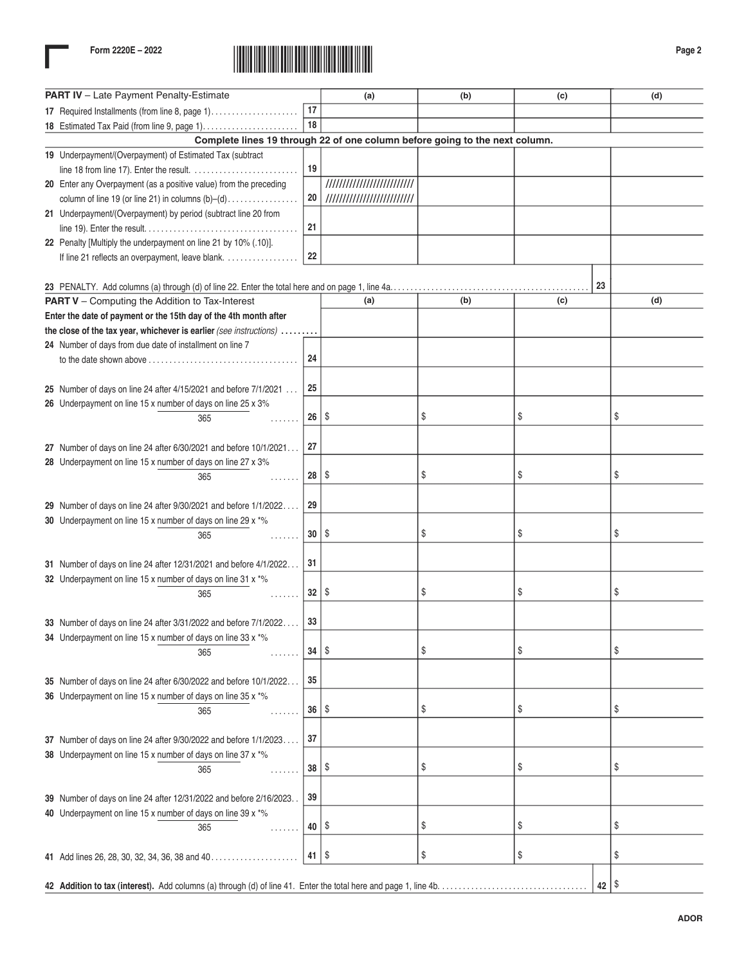

| PART IV - Late Payment Penalty-Estimate                                     |                 | (a)                         | (b) | (c) |    | (d) |  |
|-----------------------------------------------------------------------------|-----------------|-----------------------------|-----|-----|----|-----|--|
| 17 Required Installments (from line 8, page 1)                              | 17              |                             |     |     |    |     |  |
| 18 Estimated Tax Paid (from line 9, page 1)                                 | 18              |                             |     |     |    |     |  |
| Complete lines 19 through 22 of one column before going to the next column. |                 |                             |     |     |    |     |  |
| 19 Underpayment/(Overpayment) of Estimated Tax (subtract                    |                 |                             |     |     |    |     |  |
|                                                                             | 19              |                             |     |     |    |     |  |
| 20 Enter any Overpayment (as a positive value) from the preceding           |                 | /////////////////////////// |     |     |    |     |  |
| column of line 19 (or line 21) in columns $(b)-(d)$                         | 20              | /////////////////////////// |     |     |    |     |  |
| 21 Underpayment/(Overpayment) by period (subtract line 20 from              |                 |                             |     |     |    |     |  |
|                                                                             | 21              |                             |     |     |    |     |  |
| 22 Penalty [Multiply the underpayment on line 21 by 10% (.10)].             |                 |                             |     |     |    |     |  |
| If line 21 reflects an overpayment, leave blank.                            | 22              |                             |     |     |    |     |  |
|                                                                             |                 |                             |     |     | 23 |     |  |
| <b>PART V</b> - Computing the Addition to Tax-Interest                      |                 | (a)                         | (b) | (c) |    | (d) |  |
| Enter the date of payment or the 15th day of the 4th month after            |                 |                             |     |     |    |     |  |
| the close of the tax year, whichever is earlier (see instructions)          |                 |                             |     |     |    |     |  |
| 24 Number of days from due date of installment on line 7                    |                 |                             |     |     |    |     |  |
| to the date shown above                                                     | 24              |                             |     |     |    |     |  |
|                                                                             |                 |                             |     |     |    |     |  |
| 25 Number of days on line 24 after 4/15/2021 and before 7/1/2021            | 25              |                             |     |     |    |     |  |
| 26 Underpayment on line 15 x number of days on line 25 x 3%                 |                 |                             |     |     |    |     |  |
| 365<br>.                                                                    | 26              | \$                          | \$  | \$  |    | \$  |  |
|                                                                             |                 |                             |     |     |    |     |  |
| 27 Number of days on line 24 after 6/30/2021 and before 10/1/2021           | 27              |                             |     |     |    |     |  |
| 28 Underpayment on line 15 x number of days on line 27 x 3%                 |                 |                             |     |     |    |     |  |
| 365<br>.                                                                    | 28              | \$                          | \$  | \$  |    | \$  |  |
|                                                                             |                 |                             |     |     |    |     |  |
| 29 Number of days on line 24 after 9/30/2021 and before 1/1/2022            | 29              |                             |     |     |    |     |  |
| 30 Underpayment on line 15 x number of days on line 29 x *%                 |                 |                             |     |     |    |     |  |
| 365<br>.                                                                    | 30              | \$                          | \$  | \$  |    | \$  |  |
|                                                                             |                 |                             |     |     |    |     |  |
| 31 Number of days on line 24 after 12/31/2021 and before 4/1/2022           | 31              |                             |     |     |    |     |  |
| 32 Underpayment on line 15 x number of days on line 31 x *%                 | 32 <sup>2</sup> | \$                          | \$  | \$  |    | \$  |  |
| 365<br>.                                                                    |                 |                             |     |     |    |     |  |
| 33 Number of days on line 24 after 3/31/2022 and before 7/1/2022            | 33              |                             |     |     |    |     |  |
| 34 Underpayment on line 15 x number of days on line 33 x *%                 |                 |                             |     |     |    |     |  |
| 365<br>.                                                                    | 34              | \$                          | \$  | \$  |    | \$  |  |
|                                                                             |                 |                             |     |     |    |     |  |
| 35 Number of days on line 24 after 6/30/2022 and before 10/1/2022           | 35              |                             |     |     |    |     |  |
| 36 Underpayment on line 15 x number of days on line 35 x *%                 |                 |                             |     |     |    |     |  |
| 365<br>.                                                                    | 36              | \$                          | \$  | \$  |    | \$  |  |
|                                                                             |                 |                             |     |     |    |     |  |
| 37 Number of days on line 24 after 9/30/2022 and before 1/1/2023            | 37              |                             |     |     |    |     |  |
| 38 Underpayment on line 15 x number of days on line 37 x *%                 |                 |                             |     |     |    |     |  |
| 365<br>.                                                                    | 38              | \$                          | \$  | \$  |    | \$  |  |
|                                                                             |                 |                             |     |     |    |     |  |
| 39 Number of days on line 24 after 12/31/2022 and before 2/16/2023          | 39              |                             |     |     |    |     |  |
| 40 Underpayment on line 15 x number of days on line 39 x *%                 | 40              |                             |     |     |    |     |  |
| 365<br>.                                                                    |                 | \$                          | \$  | \$  |    | \$  |  |
|                                                                             |                 |                             | \$  |     |    |     |  |
| 41 Add lines 26, 28, 30, 32, 34, 36, 38 and 40                              | 41              | \$                          |     | \$  |    | \$  |  |
|                                                                             |                 |                             |     |     |    | \$  |  |
| 42                                                                          |                 |                             |     |     |    |     |  |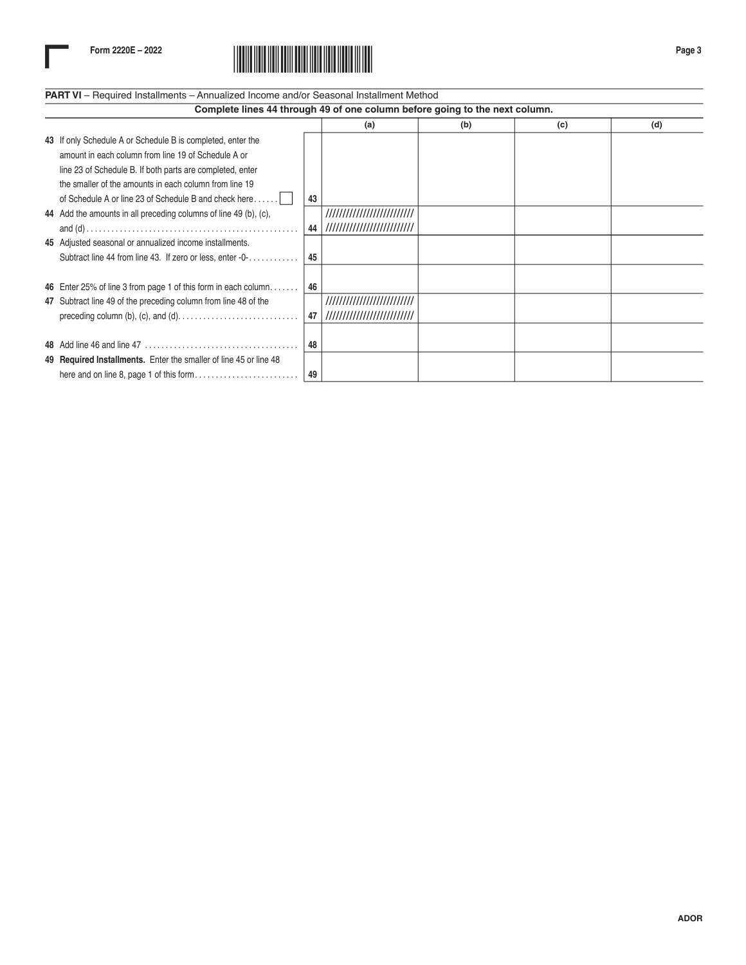

## **PART VI** – Required Installments – Annualized Income and/or Seasonal Installment Method

| Complete lines 44 through 49 of one column before going to the next column. |                                                                   |    |                             |     |     |     |  |
|-----------------------------------------------------------------------------|-------------------------------------------------------------------|----|-----------------------------|-----|-----|-----|--|
|                                                                             |                                                                   |    | (a)                         | (b) | (c) | (d) |  |
|                                                                             | 43 If only Schedule A or Schedule B is completed, enter the       |    |                             |     |     |     |  |
|                                                                             | amount in each column from line 19 of Schedule A or               |    |                             |     |     |     |  |
|                                                                             | line 23 of Schedule B. If both parts are completed, enter         |    |                             |     |     |     |  |
|                                                                             | the smaller of the amounts in each column from line 19            |    |                             |     |     |     |  |
|                                                                             | of Schedule A or line 23 of Schedule B and check here             | 43 |                             |     |     |     |  |
|                                                                             | 44 Add the amounts in all preceding columns of line 49 (b), (c),  |    | ,,,,,,,,,,,,,,,,,,,,,,,,,,  |     |     |     |  |
|                                                                             |                                                                   | 44 | /////////////////////////// |     |     |     |  |
|                                                                             | 45 Adjusted seasonal or annualized income installments.           |    |                             |     |     |     |  |
|                                                                             | Subtract line 44 from line 43. If zero or less, enter -0-         | 45 |                             |     |     |     |  |
|                                                                             |                                                                   |    |                             |     |     |     |  |
|                                                                             | 46 Enter 25% of line 3 from page 1 of this form in each column    | 46 |                             |     |     |     |  |
|                                                                             | 47 Subtract line 49 of the preceding column from line 48 of the   |    | //////////////////////////  |     |     |     |  |
|                                                                             |                                                                   | 47 | /////////////////////////// |     |     |     |  |
|                                                                             |                                                                   |    |                             |     |     |     |  |
|                                                                             |                                                                   | 48 |                             |     |     |     |  |
|                                                                             | 49 Required Installments. Enter the smaller of line 45 or line 48 |    |                             |     |     |     |  |
|                                                                             |                                                                   | 49 |                             |     |     |     |  |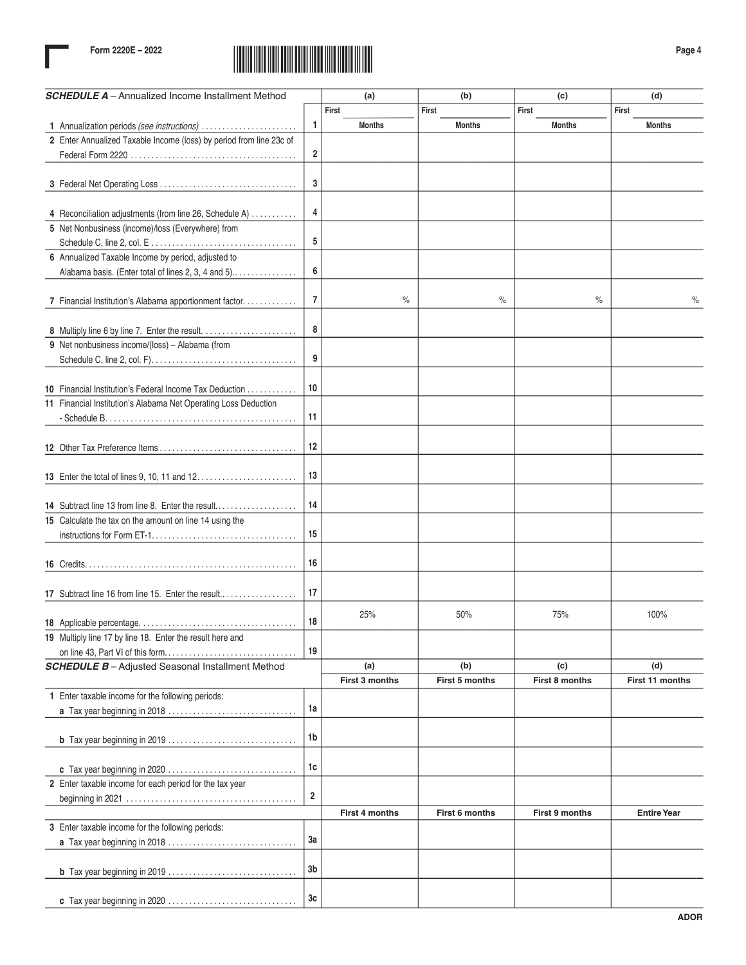

| <b>SCHEDULE A</b> - Annualized Income Installment Method            |                | (a)                   | (b)            | (c)            | (d)                |
|---------------------------------------------------------------------|----------------|-----------------------|----------------|----------------|--------------------|
|                                                                     |                | First                 | First          | First          | First              |
| 1 Annualization periods (see instructions)                          | 1              | <b>Months</b>         | <b>Months</b>  | <b>Months</b>  | <b>Months</b>      |
| 2 Enter Annualized Taxable Income (loss) by period from line 23c of |                |                       |                |                |                    |
|                                                                     | 2              |                       |                |                |                    |
|                                                                     |                |                       |                |                |                    |
|                                                                     | 3              |                       |                |                |                    |
|                                                                     |                |                       |                |                |                    |
| 4 Reconciliation adjustments (from line 26, Schedule A)             | 4              |                       |                |                |                    |
| 5 Net Nonbusiness (income)/loss (Everywhere) from                   |                |                       |                |                |                    |
|                                                                     | 5              |                       |                |                |                    |
| 6 Annualized Taxable Income by period, adjusted to                  |                |                       |                |                |                    |
| Alabama basis. (Enter total of lines 2, 3, 4 and 5)                 | 6              |                       |                |                |                    |
|                                                                     |                |                       |                |                |                    |
| 7 Financial Institution's Alabama apportionment factor.             | 7              | $\%$                  | $\%$           | $\%$           | $\%$               |
|                                                                     |                |                       |                |                |                    |
|                                                                     | 8              |                       |                |                |                    |
| 9 Net nonbusiness income/(loss) - Alabama (from                     |                |                       |                |                |                    |
|                                                                     | 9              |                       |                |                |                    |
|                                                                     |                |                       |                |                |                    |
| 10 Financial Institution's Federal Income Tax Deduction             | 10             |                       |                |                |                    |
| 11 Financial Institution's Alabama Net Operating Loss Deduction     |                |                       |                |                |                    |
|                                                                     | 11             |                       |                |                |                    |
|                                                                     |                |                       |                |                |                    |
|                                                                     | 12             |                       |                |                |                    |
|                                                                     |                |                       |                |                |                    |
|                                                                     | 13             |                       |                |                |                    |
|                                                                     |                |                       |                |                |                    |
|                                                                     |                |                       |                |                |                    |
| 14 Subtract line 13 from line 8. Enter the result                   | 14             |                       |                |                |                    |
| 15 Calculate the tax on the amount on line 14 using the             |                |                       |                |                |                    |
|                                                                     | 15             |                       |                |                |                    |
|                                                                     |                |                       |                |                |                    |
|                                                                     | 16             |                       |                |                |                    |
|                                                                     |                |                       |                |                |                    |
| 17 Subtract line 16 from line 15. Enter the result                  | 17             |                       |                |                |                    |
|                                                                     |                | 25%                   | 50%            | 75%            | 100%               |
|                                                                     | 18             |                       |                |                |                    |
| 19 Multiply line 17 by line 18. Enter the result here and           |                |                       |                |                |                    |
|                                                                     | 19             |                       |                |                |                    |
| <b>SCHEDULE B</b> - Adjusted Seasonal Installment Method            |                | (a)                   | (b)            | (c)            | (d)                |
|                                                                     |                | First 3 months        | First 5 months | First 8 months | First 11 months    |
| 1 Enter taxable income for the following periods:                   |                |                       |                |                |                    |
|                                                                     | 1a             |                       |                |                |                    |
|                                                                     | 1b             |                       |                |                |                    |
|                                                                     |                |                       |                |                |                    |
|                                                                     |                |                       |                |                |                    |
|                                                                     | 1c             |                       |                |                |                    |
| 2 Enter taxable income for each period for the tax year             |                |                       |                |                |                    |
|                                                                     | $\overline{2}$ |                       |                |                |                    |
|                                                                     |                | <b>First 4 months</b> | First 6 months | First 9 months | <b>Entire Year</b> |
| 3 Enter taxable income for the following periods:                   |                |                       |                |                |                    |
| a Tax year beginning in 2018                                        | 3a             |                       |                |                |                    |
|                                                                     |                |                       |                |                |                    |
|                                                                     | 3b             |                       |                |                |                    |
|                                                                     |                |                       |                |                |                    |
|                                                                     | 3c             |                       |                |                |                    |